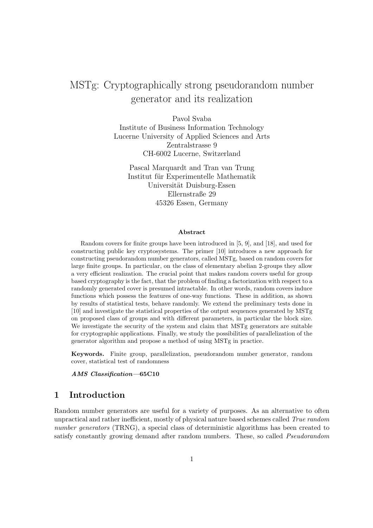# MSTg: Cryptographically strong pseudorandom number generator and its realization

Pavol Svaba Institute of Business Information Technology Lucerne University of Applied Sciences and Arts Zentralstrasse 9 CH-6002 Lucerne, Switzerland

Pascal Marquardt and Tran van Trung Institut für Experimentelle Mathematik Universität Duisburg-Essen Ellernstraße 29 45326 Essen, Germany

#### Abstract

Random covers for finite groups have been introduced in [5, 9], and [18], and used for constructing public key cryptosystems. The primer [10] introduces a new approach for constructing pseudorandom number generators, called MSTg, based on random covers for large finite groups. In particular, on the class of elementary abelian 2-groups they allow a very efficient realization. The crucial point that makes random covers useful for group based cryptography is the fact, that the problem of finding a factorization with respect to a randomly generated cover is presumed intractable. In other words, random covers induce functions which possess the features of one-way functions. These in addition, as shown by results of statistical tests, behave randomly. We extend the preliminary tests done in [10] and investigate the statistical properties of the output sequences generated by MSTg on proposed class of groups and with different parameters, in particular the block size. We investigate the security of the system and claim that MSTg generators are suitable for cryptographic applications. Finally, we study the possibilities of parallelization of the generator algorithm and propose a method of using MSTg in practice.

Keywords. Finite group, parallelization, pseudorandom number generator, random cover, statistical test of randomness

#### AMS Classification—65C10

# 1 Introduction

Random number generators are useful for a variety of purposes. As an alternative to often unpractical and rather inefficient, mostly of physical nature based schemes called True random number generators (TRNG), a special class of deterministic algorithms has been created to satisfy constantly growing demand after random numbers. These, so called *Pseudorandom*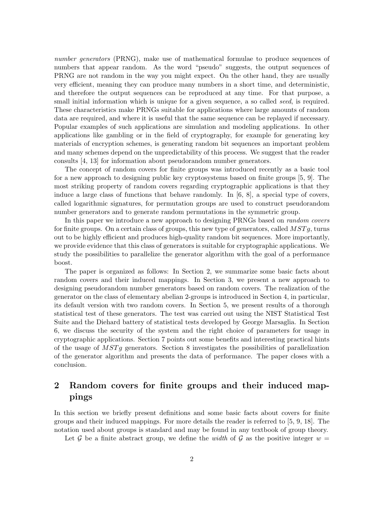number generators (PRNG), make use of mathematical formulae to produce sequences of numbers that appear random. As the word "pseudo" suggests, the output sequences of PRNG are not random in the way you might expect. On the other hand, they are usually very efficient, meaning they can produce many numbers in a short time, and deterministic, and therefore the output sequences can be reproduced at any time. For that purpose, a small initial information which is unique for a given sequence, a so called *seed*, is required. These characteristics make PRNGs suitable for applications where large amounts of random data are required, and where it is useful that the same sequence can be replayed if necessary. Popular examples of such applications are simulation and modeling applications. In other applications like gambling or in the field of cryptography, for example for generating key materials of encryption schemes, is generating random bit sequences an important problem and many schemes depend on the unpredictability of this process. We suggest that the reader consults [4, 13] for information about pseudorandom number generators.

The concept of random covers for finite groups was introduced recently as a basic tool for a new approach to designing public key cryptosystems based on finite groups [5, 9]. The most striking property of random covers regarding cryptographic applications is that they induce a large class of functions that behave randomly. In [6, 8], a special type of covers, called logarithmic signatures, for permutation groups are used to construct pseudorandom number generators and to generate random permutations in the symmetric group.

In this paper we introduce a new approach to designing PRNGs based on random covers for finite groups. On a certain class of groups, this new type of generators, called  $MSTq$ , turns out to be highly efficient and produces high-quality random bit sequences. More importantly, we provide evidence that this class of generators is suitable for cryptographic applications. We study the possibilities to parallelize the generator algorithm with the goal of a performance boost.

The paper is organized as follows: In Section 2, we summarize some basic facts about random covers and their induced mappings. In Section 3, we present a new approach to designing pseudorandom number generators based on random covers. The realization of the generator on the class of elementary abelian 2-groups is introduced in Section 4, in particular, its default version with two random covers. In Section 5, we present results of a thorough statistical test of these generators. The test was carried out using the NIST Statistical Test Suite and the Diehard battery of statistical tests developed by George Marsaglia. In Section 6, we discuss the security of the system and the right choice of parameters for usage in cryptographic applications. Section 7 points out some benefits and interesting practical hints of the usage of  $MSTq$  generators. Section 8 investigates the possibilities of parallelization of the generator algorithm and presents the data of performance. The paper closes with a conclusion.

# 2 Random covers for finite groups and their induced mappings

In this section we briefly present definitions and some basic facts about covers for finite groups and their induced mappings. For more details the reader is referred to [5, 9, 18]. The notation used about groups is standard and may be found in any textbook of group theory.

Let G be a finite abstract group, we define the width of G as the positive integer  $w =$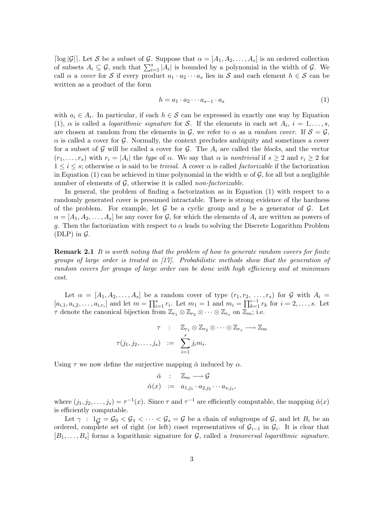[ $\log |\mathcal{G}|$ ]. Let S be a subset of G. Suppose that  $\alpha = [A_1, A_2, \ldots, A_s]$  is an ordered collection of subsets  $A_i \subseteq \mathcal{G}$ , such that  $\sum_{i=1}^s |A_i|$  is bounded by a polynomial in the width of  $\mathcal{G}$ . We call  $\alpha$  a cover for S if every product  $a_1 \cdot a_2 \cdots a_s$  lies in S and each element  $h \in S$  can be written as a product of the form

$$
h = a_1 \cdot a_2 \cdots a_{s-1} \cdot a_s \tag{1}
$$

with  $a_i \in A_i$ . In particular, if each  $h \in \mathcal{S}$  can be expressed in exactly one way by Equation (1),  $\alpha$  is called a *logarithmic signature* for S. If the elements in each set  $A_i$ ,  $i = 1, \ldots, s$ , are chosen at random from the elements in  $G$ , we refer to  $\alpha$  as a *random cover*. If  $S = G$ ,  $\alpha$  is called a cover for G. Normally, the context precludes ambiguity and sometimes a cover for a subset of G will be called a cover for G. The  $A_i$  are called the blocks, and the vector  $(r_1, \ldots, r_s)$  with  $r_i = |A_i|$  the type of  $\alpha$ . We say that  $\alpha$  is nontrivial if  $s \geq 2$  and  $r_i \geq 2$  for  $1 \leq i \leq s$ ; otherwise  $\alpha$  is said to be *trivial.* A cover  $\alpha$  is called *factorizable* if the factorization in Equation (1) can be achieved in time polynomial in the width  $w$  of  $\mathcal{G}$ , for all but a negligible number of elements of  $G$ , otherwise it is called *non-factorizable*.

In general, the problem of finding a factorization as in Equation (1) with respect to a randomly generated cover is presumed intractable. There is strong evidence of the hardness of the problem. For example, let  $\mathcal G$  be a cyclic group and  $g$  be a generator of  $\mathcal G$ . Let  $\alpha = [A_1, A_2, \ldots, A_s]$  be any cover for  $G$ , for which the elements of  $A_i$  are written as powers of g. Then the factorization with respect to  $\alpha$  leads to solving the Discrete Logarithm Problem (DLP) in  $\mathcal{G}$ .

**Remark 2.1** It is worth noting that the problem of how to generate random covers for finite groups of large order is treated in  $[17]$ . Probabilistic methods show that the generation of random covers for groups of large order can be done with high efficiency and at minimum cost.

Let  $\alpha = [A_1, A_2, \ldots, A_s]$  be a random cover of type  $(r_1, r_2, \ldots, r_s)$  for G with  $A_i =$  $[a_{i,1}, a_{i,2}, \ldots, a_{i,r_i}]$  and let  $m = \prod_{i=1}^s r_i$ . Let  $m_1 = 1$  and  $m_i = \prod_{k=1}^{i-1} r_k$  for  $i = 2, \ldots, s$ . Let  $\tau$  denote the canonical bijection from  $\mathbb{Z}_{r_1} \otimes \mathbb{Z}_{r_2} \otimes \cdots \otimes \mathbb{Z}_{r_s}$  on  $\mathbb{Z}_m$ ; i.e.

$$
\tau : \mathbb{Z}_{r_1} \otimes \mathbb{Z}_{r_2} \otimes \cdots \otimes \mathbb{Z}_{r_s} \longrightarrow \mathbb{Z}_m
$$
  

$$
\tau(j_1, j_2, \ldots, j_s) := \sum_{i=1}^s j_i m_i.
$$

Using  $\tau$  we now define the surjective mapping  $\alpha$  induced by  $\alpha$ .

$$
\check{\alpha} : \mathbb{Z}_m \longrightarrow \mathcal{G}
$$
  

$$
\check{\alpha}(x) := a_{1,j_1} \cdot a_{2,j_2} \cdots a_{s,j_s},
$$

where  $(j_1, j_2, \ldots, j_s) = \tau^{-1}(x)$ . Since  $\tau$  and  $\tau^{-1}$  are efficiently computable, the mapping  $\check{\alpha}(x)$ is efficiently computable.

Let  $\gamma : 1_G = \mathcal{G}_0 < \mathcal{G}_1 < \cdots < \mathcal{G}_s = \mathcal{G}$  be a chain of subgroups of  $\mathcal{G}$ , and let  $B_i$  be an ordered, complete set of right (or left) coset representatives of  $\mathcal{G}_{i-1}$  in  $\mathcal{G}_i$ . It is clear that  $[B_1, \ldots, B_s]$  forms a logarithmic signature for G, called a transversal logarithmic signature.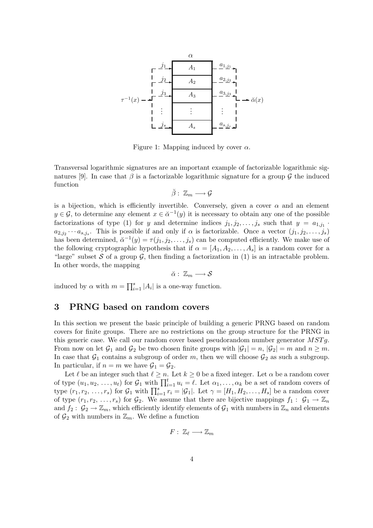

Figure 1: Mapping induced by cover  $\alpha$ .

Transversal logarithmic signatures are an important example of factorizable logarithmic signatures [9]. In case that  $\beta$  is a factorizable logarithmic signature for a group  $\mathcal G$  the induced function

$$
\breve{\beta}:\ \mathbb{Z}_m\longrightarrow \mathcal{G}
$$

is a bijection, which is efficiently invertible. Conversely, given a cover  $\alpha$  and an element  $y \in \mathcal{G}$ , to determine any element  $x \in \breve{\alpha}^{-1}(y)$  it is necessary to obtain any one of the possible factorizations of type (1) for y and determine indices  $j_1, j_2, \ldots, j_s$  such that  $y = a_{1,j_1}$ .  $a_{2,j_2}\cdots a_{s,j_s}$ . This is possible if and only if  $\alpha$  is factorizable. Once a vector  $(j_1, j_2, \ldots, j_s)$ has been determined,  $\check{\alpha}^{-1}(y) = \tau(j_1, j_2, \ldots, j_s)$  can be computed efficiently. We make use of the following cryptographic hypothesis that if  $\alpha = [A_1, A_2, \ldots, A_s]$  is a random cover for a "large" subset S of a group  $\mathcal{G}$ , then finding a factorization in (1) is an intractable problem. In other words, the mapping

 $\breve{\alpha} : \mathbb{Z}_m \longrightarrow S$ 

induced by  $\alpha$  with  $m = \prod_{i=1}^{s} |A_i|$  is a one-way function.

### 3 PRNG based on random covers

In this section we present the basic principle of building a generic PRNG based on random covers for finite groups. There are no restrictions on the group structure for the PRNG in this generic case. We call our random cover based pseudorandom number generator  $MSTg$ . From now on let  $\mathcal{G}_1$  and  $\mathcal{G}_2$  be two chosen finite groups with  $|\mathcal{G}_1| = n$ ,  $|\mathcal{G}_2| = m$  and  $n \geq m$ . In case that  $G_1$  contains a subgroup of order m, then we will choose  $G_2$  as such a subgroup. In particular, if  $n = m$  we have  $\mathcal{G}_1 = \mathcal{G}_2$ .

Let  $\ell$  be an integer such that  $\ell \geq n$ . Let  $k \geq 0$  be a fixed integer. Let  $\alpha$  be a random cover of type  $(u_1, u_2, \ldots, u_t)$  for  $\mathcal{G}_1$  with  $\prod_{i=1}^t u_i = \ell$ . Let  $\alpha_1, \ldots, \alpha_k$  be a set of random covers of type  $(r_1, r_2, \ldots, r_s)$  for  $\mathcal{G}_1$  with  $\prod_{i=1}^s r_i = |\mathcal{G}_1|$ . Let  $\gamma = [H_1, H_2, \ldots, H_s]$  be a random cover of type  $(r_1, r_2, \ldots, r_s)$  for  $\mathcal{G}_2$ . We assume that there are bijective mappings  $f_1 : \mathcal{G}_1 \to \mathbb{Z}_n$ and  $f_2: \mathcal{G}_2 \to \mathbb{Z}_m$ , which efficiently identify elements of  $\mathcal{G}_1$  with numbers in  $\mathbb{Z}_n$  and elements of  $\mathcal{G}_2$  with numbers in  $\mathbb{Z}_m$ . We define a function

$$
F:\ \mathbb{Z}_{\ell}\longrightarrow \mathbb{Z}_m
$$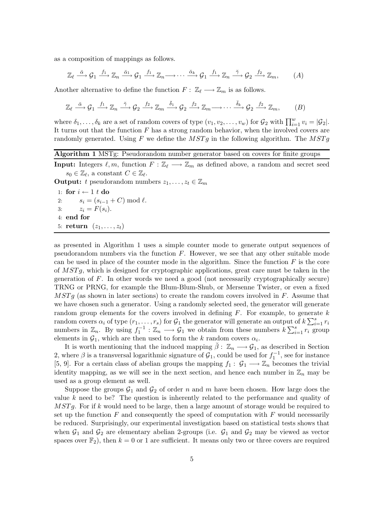as a composition of mappings as follows.

$$
\mathbb{Z}_{\ell} \stackrel{\check{\alpha}}{\longrightarrow} \mathcal{G}_1 \stackrel{f_1}{\longrightarrow} \mathbb{Z}_n \stackrel{\check{\alpha}_1}{\longrightarrow} \mathcal{G}_1 \stackrel{f_1}{\longrightarrow} \mathbb{Z}_n \longrightarrow \cdots \stackrel{\check{\alpha}_k}{\longrightarrow} \mathcal{G}_1 \stackrel{f_1}{\longrightarrow} \mathbb{Z}_n \stackrel{\check{\gamma}}{\longrightarrow} \mathcal{G}_2 \stackrel{f_2}{\longrightarrow} \mathbb{Z}_m,
$$
 (A)

Another alternative to define the function  $F: \mathbb{Z}_{\ell} \longrightarrow \mathbb{Z}_m$  is as follows.

$$
\mathbb{Z}_{\ell} \stackrel{\check{\alpha}}{\longrightarrow} \mathcal{G}_1 \stackrel{f_1}{\longrightarrow} \mathbb{Z}_n \stackrel{\check{\gamma}}{\longrightarrow} \mathcal{G}_2 \stackrel{f_2}{\longrightarrow} \mathbb{Z}_m \stackrel{\check{\delta}_1}{\longrightarrow} \mathcal{G}_2 \stackrel{f_2}{\longrightarrow} \mathbb{Z}_m \longrightarrow \cdots \stackrel{\check{\delta}_k}{\longrightarrow} \mathcal{G}_2 \stackrel{f_2}{\longrightarrow} \mathbb{Z}_m, \qquad (B)
$$

where  $\delta_1, \ldots, \delta_k$  are a set of random covers of type  $(v_1, v_2, \ldots, v_w)$  for  $\mathcal{G}_2$  with  $\prod_{i=1}^w v_i = |\mathcal{G}_2|$ . It turns out that the function  $F$  has a strong random behavior, when the involved covers are randomly generated. Using F we define the  $MSTg$  in the following algorithm. The  $MSTg$ 

### Algorithm 1 MSTg: Pseudorandom number generator based on covers for finite groups

**Input:** Integers  $\ell, m$ , function  $F : \mathbb{Z}_{\ell} \longrightarrow \mathbb{Z}_m$  as defined above, a random and secret seed  $s_0 \in \mathbb{Z}_{\ell}$ , a constant  $C \in \mathbb{Z}_{\ell}$ .

**Output:** t pseudorandom numbers  $z_1, \ldots, z_t \in \mathbb{Z}_m$ 

1: for  $i \leftarrow 1$  t do<br>2:  $s_i = (s_{i-1})$  $s_i = (s_{i-1} + C) \bmod l$ . 3:  $z_i = F(s_i)$ . 4: end for 5: return  $(z_1, \ldots, z_t)$ 

as presented in Algorithm 1 uses a simple counter mode to generate output sequences of pseudorandom numbers via the function  $F$ . However, we see that any other suitable mode can be used in place of the counter mode in the algorithm. Since the function  $F$  is the core of  $MSTg$ , which is designed for cryptographic applications, great care must be taken in the generation of F. In other words we need a good (not necessarily cryptographically secure) TRNG or PRNG, for example the Blum-Blum-Shub, or Mersenne Twister, or even a fixed  $MSTg$  (as shown in later sections) to create the random covers involved in F. Assume that we have chosen such a generator. Using a randomly selected seed, the generator will generate random group elements for the covers involved in defining  $F$ . For example, to generate  $k$ random covers  $\alpha_i$  of type  $(r_1, \ldots, r_s)$  for  $\mathcal{G}_1$  the generator will generate an output of  $k \sum_{i=1}^s r_i$ numbers in  $\mathbb{Z}_n$ . By using  $f_1^{-1} : \mathbb{Z}_n \longrightarrow \mathcal{G}_1$  we obtain from these numbers  $k \sum_{i=1}^s r_i$  group elements in  $\mathcal{G}_1$ , which are then used to form the k random covers  $\alpha_i$ .

It is worth mentioning that the induced mapping  $\tilde{\beta}: \mathbb{Z}_n \longrightarrow \mathcal{G}_1$ , as described in Section 2, where  $\beta$  is a transversal logarithmic signature of  $\mathcal{G}_1$ , could be used for  $f_1^{-1}$ , see for instance [5, 9]. For a certain class of abelian groups the mapping  $f_1: \mathcal{G}_1 \longrightarrow \mathbb{Z}_n$  becomes the trivial identity mapping, as we will see in the next section, and hence each number in  $\mathbb{Z}_n$  may be used as a group element as well.

Suppose the groups  $G_1$  and  $G_2$  of order n and m have been chosen. How large does the value k need to be? The question is inherently related to the performance and quality of  $MSTg$ . For if k would need to be large, then a large amount of storage would be required to set up the function  $F$  and consequently the speed of computation with  $F$  would necessarily be reduced. Surprisingly, our experimental investigation based on statistical tests shows that when  $G_1$  and  $G_2$  are elementary abelian 2-groups (i.e.  $G_1$  and  $G_2$  may be viewed as vector spaces over  $\mathbb{F}_2$ ), then  $k = 0$  or 1 are sufficient. It means only two or three covers are required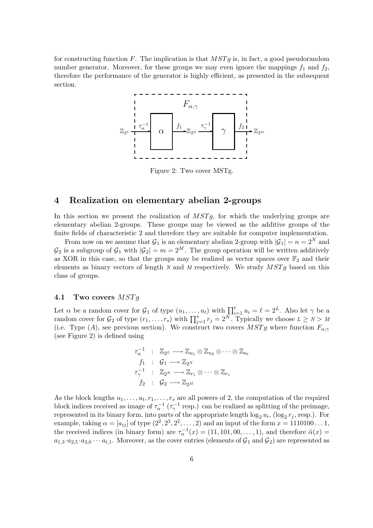for constructing function F. The implication is that  $MSTg$  is, in fact, a good pseudorandom number generator. Moreover, for these groups we may even ignore the mappings  $f_1$  and  $f_2$ , therefore the performance of the generator is highly efficient, as presented in the subsequent section.



Figure 2: Two cover MSTg.

### 4 Realization on elementary abelian 2-groups

In this section we present the realization of  $MSTg$ , for which the underlying groups are elementary abelian 2-groups. These groups may be viewed as the additive groups of the finite fields of characteristic 2 and therefore they are suitable for computer implementation.

From now on we assume that  $\mathcal{G}_1$  is an elementary abelian 2-group with  $|\mathcal{G}_1| = n = 2^N$  and  $\mathcal{G}_2$  is a subgroup of  $\mathcal{G}_1$  with  $|\mathcal{G}_2| = m = 2^M$ . The group operation will be written additively as XOR in this case, so that the groups may be realized as vector spaces over  $\mathbb{F}_2$  and their elements as binary vectors of length  $N$  and  $M$  respectively. We study  $MSTg$  based on this class of groups.

#### 4.1 Two covers  $MSTg$

Let  $\alpha$  be a random cover for  $\mathcal{G}_1$  of type  $(u_1, \ldots, u_t)$  with  $\prod_{i=1}^t u_i = \ell = 2^L$ . Also let  $\gamma$  be a random cover for  $G_2$  of type  $(r_1, \ldots, r_s)$  with  $\prod_{j=1}^s r_j = 2^N$ . Typically we choose  $L \ge N > M$ (i.e. Type (A), see previous section). We construct two covers  $MSTg$  where function  $F_{\alpha,\gamma}$ (see Figure 2) is defined using

$$
\tau_{\alpha}^{-1} : \mathbb{Z}_{2^L} \longrightarrow \mathbb{Z}_{u_1} \otimes \mathbb{Z}_{u_2} \otimes \cdots \otimes \mathbb{Z}_{u_t}
$$
\n
$$
f_1 : \mathcal{G}_1 \longrightarrow \mathbb{Z}_{2^N}
$$
\n
$$
\tau_{\gamma}^{-1} : \mathbb{Z}_{2^N} \longrightarrow \mathbb{Z}_{r_1} \otimes \cdots \otimes \mathbb{Z}_{r_s}
$$
\n
$$
f_2 : \mathcal{G}_2 \longrightarrow \mathbb{Z}_{2^M}
$$

As the block lengths  $u_1, \ldots, u_t, r_1, \ldots, r_s$  are all powers of 2, the computation of the required block indices received as image of  $\tau_{\alpha}^{-1}$  ( $\tau_{\gamma}^{-1}$  resp.) can be realized as splitting of the preimage, represented in its binary form, into parts of the appropriate length  $\log_2 u_i$ ,  $(\log_2 r_j$ , resp.). For example, taking  $\alpha = [a_{ij}]$  of type  $(2^2, 2^3, 2^2, \dots, 2)$  and an input of the form  $x = 1110100 \dots 1$ , the received indices (in binary form) are  $\tau_{\alpha}^{-1}(x) = (11, 101, 00, \dots, 1)$ , and therefore  $\breve{\alpha}(x) =$  $a_{1,3} \cdot a_{2,5} \cdot a_{3,0} \cdots a_{t,1}$ . Moreover, as the cover entries (elements of  $G_1$  and  $G_2$ ) are represented as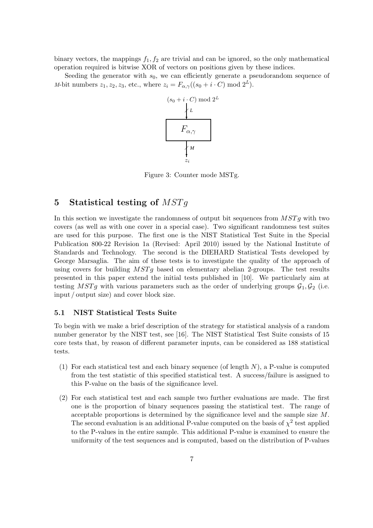binary vectors, the mappings  $f_1, f_2$  are trivial and can be ignored, so the only mathematical operation required is bitwise XOR of vectors on positions given by these indices.

Seeding the generator with  $s_0$ , we can efficiently generate a pseudorandom sequence of M-bit numbers  $z_1, z_2, z_3$ , etc., where  $z_i = F_{\alpha,\gamma}((s_0 + i \cdot C) \mod 2^L)$ .



Figure 3: Counter mode MSTg.

# 5 Statistical testing of  $MSTg$

In this section we investigate the randomness of output bit sequences from  $MSTq$  with two covers (as well as with one cover in a special case). Two significant randomness test suites are used for this purpose. The first one is the NIST Statistical Test Suite in the Special Publication 800-22 Revision 1a (Revised: April 2010) issued by the National Institute of Standards and Technology. The second is the DIEHARD Statistical Tests developed by George Marsaglia. The aim of these tests is to investigate the quality of the approach of using covers for building  $MSTq$  based on elementary abelian 2-groups. The test results presented in this paper extend the initial tests published in [10]. We particularly aim at testing MSTg with various parameters such as the order of underlying groups  $G_1, G_2$  (i.e. input / output size) and cover block size.

#### 5.1 NIST Statistical Tests Suite

To begin with we make a brief description of the strategy for statistical analysis of a random number generator by the NIST test, see [16]. The NIST Statistical Test Suite consists of 15 core tests that, by reason of different parameter inputs, can be considered as 188 statistical tests.

- (1) For each statistical test and each binary sequence (of length  $N$ ), a P-value is computed from the test statistic of this specified statistical test. A success/failure is assigned to this P-value on the basis of the significance level.
- (2) For each statistical test and each sample two further evaluations are made. The first one is the proportion of binary sequences passing the statistical test. The range of acceptable proportions is determined by the significance level and the sample size M. The second evaluation is an additional P-value computed on the basis of  $\chi^2$  test applied to the P-values in the entire sample. This additional P-value is examined to ensure the uniformity of the test sequences and is computed, based on the distribution of P-values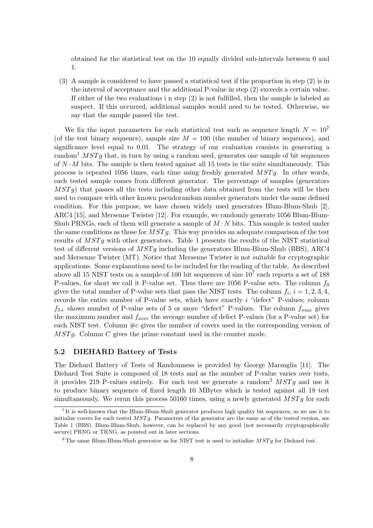obtained for the statistical test on the 10 equally divided sub-intervals between 0 and 1.

(3) A sample is considered to have passed a statistical test if the proportion in step (2) is in the interval of acceptance and the additional P-value in step (2) exceeds a certain value. If either of the two evaluations i n step (2) is not fulfilled, then the sample is labeled as suspect. If this occurred, additional samples would need to be tested. Otherwise, we say that the sample passed the test.

We fix the input parameters for each statistical test such as sequence length  $N = 10<sup>7</sup>$ (of the test binary sequence), sample size  $M = 100$  (the number of binary sequences), and significance level equal to 0.01. The strategy of our evaluation consists in generating a random<sup>1</sup>  $MSTg$  that, in turn by using a random seed, generates one sample of bit sequences of  $N \cdot M$  bits. The sample is then tested against all 15 tests in the suite simultaneously. This process is repeated 1056 times, each time using freshly generated  $MSTg$ . In other words, each tested sample comes from different generator. The percentage of samples (generators  $MSTq$ ) that passes all the tests including other data obtained from the tests will be then used to compare with other known pseudorandom number generators under the same defined condition. For this purpose, we have chosen widely used generators Blum-Blum-Shub [2], ARC4 [15], and Mersenne Twister [12]. For example, we randomly generate 1056 Blum-Blum-Shub PRNGs, each of them will generate a sample of  $M \cdot N$  bits. This sample is tested under the same conditions as those for  $MSTq$ . This way provides an adequate comparison of the test results of MST g with other generators. Table 1 presents the results of the NIST statistical test of different versions of  $MSTg$  including the generators Blum-Blum-Shub (BBS), ARC4 and Mersenne Twister (MT). Notice that Mersenne Twister is not suitable for cryptographic applications. Some explanations need to be included for the reading of the table. As described above all 15 NIST tests on a sample of 100 bit sequences of size  $10^7$  each reports a set of 188 P-values, for short we call it P-value set. Thus there are 1056 P-value sets. The column  $f_0$ gives the total number of P-value sets that pass the NIST tests. The column  $f_i$ ,  $i = 1, 2, 3, 4$ , records the entire number of P-value sets, which have exactly i "defect" P-values; column  $f_{5+}$  shows number of P-value sets of 5 or more "defect" P-values. The column  $f_{max}$  gives the maximum number and  $f_{aver}$  the average number of defect P-values (for a P-value set) for each NIST test. Column  $\#c$  gives the number of covers used in the corresponding version of  $MSTg$ . Column C gives the prime constant used in the counter mode.

### 5.2 DIEHARD Battery of Tests

The Diehard Battery of Tests of Randomness is provided by George Marsaglia [11]. The Diehard Test Suite is composed of 18 tests and as the number of P-value varies over tests, it provides 219 P-values entirely. For each test we generate a random<sup>2</sup>  $MSTg$  and use it to produce binary sequence of fixed length 10 MBytes which is tested against all 18 test simultaneously. We rerun this process 50160 times, using a newly generated  $MSTg$  for each

<sup>&</sup>lt;sup>1</sup> It is well-known that the Blum-Blum-Shub generator produces high quality bit sequences, so we use it to initialize covers for each tested  $MSTq$ . Parameters of the generator are the same as of the tested version, see Table 1 (BBS). Blum-Blum-Shub, however, can be replaced by any good (not necessarily cryptographically secure) PRNG or TRNG, as pointed out in later sections.

<sup>&</sup>lt;sup>2</sup> The same Blum-Blum-Shub generator as for NIST test is used to initialize  $MSTg$  for Diehard test.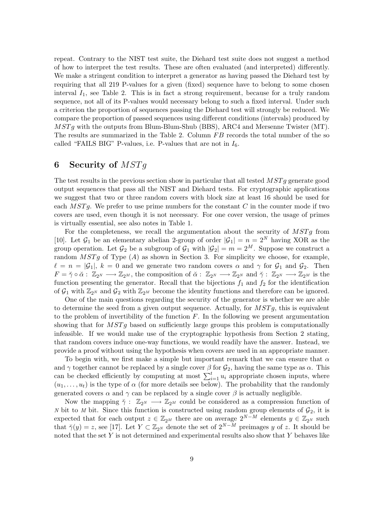repeat. Contrary to the NIST test suite, the Diehard test suite does not suggest a method of how to interpret the test results. These are often evaluated (and interpreted) differently. We make a stringent condition to interpret a generator as having passed the Diehard test by requiring that all 219 P-values for a given (fixed) sequence have to belong to some chosen interval  $I_1$ , see Table 2. This is in fact a strong requirement, because for a truly random sequence, not all of its P-values would necessary belong to such a fixed interval. Under such a criterion the proportion of sequences passing the Diehard test will strongly be reduced. We compare the proportion of passed sequences using different conditions (intervals) produced by  $MSTg$  with the outputs from Blum-Blum-Shub (BBS), ARC4 and Mersenne Twister (MT). The results are summarized in the Table 2. Column  $FB$  records the total number of the so called "FAILS BIG" P-values, i.e. P-values that are not in  $I_6$ .

# 6 Security of  $MSTg$

The test results in the previous section show in particular that all tested  $MSTg$  generate good output sequences that pass all the NIST and Diehard tests. For cryptographic applications we suggest that two or three random covers with block size at least 16 should be used for each  $MSTq$ . We prefer to use prime numbers for the constant C in the counter mode if two covers are used, even though it is not necessary. For one cover version, the usage of primes is virtually essential, see also notes in Table 1.

For the completeness, we recall the argumentation about the security of  $MSTq$  from [10]. Let  $\mathcal{G}_1$  be an elementary abelian 2-group of order  $|\mathcal{G}_1| = n = 2^N$  having XOR as the group operation. Let  $G_2$  be a subgroup of  $G_1$  with  $|G_2| = m = 2^M$ . Suppose we construct a random  $MSTg$  of Type  $(A)$  as shown in Section 3. For simplicity we choose, for example,  $\ell = n = |\mathcal{G}_1|, k = 0$  and we generate two random covers  $\alpha$  and  $\gamma$  for  $\mathcal{G}_1$  and  $\mathcal{G}_2$ . Then  $F = \check{\gamma} \circ \check{\alpha} : \mathbb{Z}_{2^N} \longrightarrow \mathbb{Z}_{2^M}$ , the composition of  $\check{\alpha} : \mathbb{Z}_{2^N} \longrightarrow \mathbb{Z}_{2^N}$  and  $\check{\gamma} : \mathbb{Z}_{2^N} \longrightarrow \mathbb{Z}_{2^M}$  is the function presenting the generator. Recall that the bijections  $f_1$  and  $f_2$  for the identification of  $\mathcal{G}_1$  with  $\mathbb{Z}_{2^N}$  and  $\mathcal{G}_2$  with  $\mathbb{Z}_{2^M}$  become the identity functions and therefore can be ignored.

One of the main questions regarding the security of the generator is whether we are able to determine the seed from a given output sequence. Actually, for  $MSTg$ , this is equivalent to the problem of invertibility of the function  $F$ . In the following we present argumentation showing that for  $MSTg$  based on sufficiently large groups this problem is computationally infeasible. If we would make use of the cryptographic hypothesis from Section 2 stating, that random covers induce one-way functions, we would readily have the answer. Instead, we provide a proof without using the hypothesis when covers are used in an appropriate manner.

To begin with, we first make a simple but important remark that we can ensure that  $\alpha$ and  $\gamma$  together cannot be replaced by a single cover  $\beta$  for  $\mathcal{G}_2$ , having the same type as  $\alpha$ . This can be checked efficiently by computing at most  $\sum_{i=1}^{t} u_i$  appropriate chosen inputs, where  $(u_1, \ldots, u_t)$  is the type of  $\alpha$  (for more details see below). The probability that the randomly generated covers  $\alpha$  and  $\gamma$  can be replaced by a single cover  $\beta$  is actually negligible.

Now the mapping  $\check{\gamma}$  :  $\mathbb{Z}_{2^N} \longrightarrow \mathbb{Z}_{2^M}$  could be considered as a compression function of N bit to M bit. Since this function is constructed using random group elements of  $\mathcal{G}_2$ , it is expected that for each output  $z \in \mathbb{Z}_{2^M}$  there are on average  $2^{N-M}$  elements  $y \in \mathbb{Z}_{2^N}$  such that  $\breve{\gamma}(y) = z$ , see [17]. Let  $Y \subset \mathbb{Z}_{2^N}$  denote the set of  $2^{N-M}$  preimages y of z. It should be noted that the set  $Y$  is not determined and experimental results also show that  $Y$  behaves like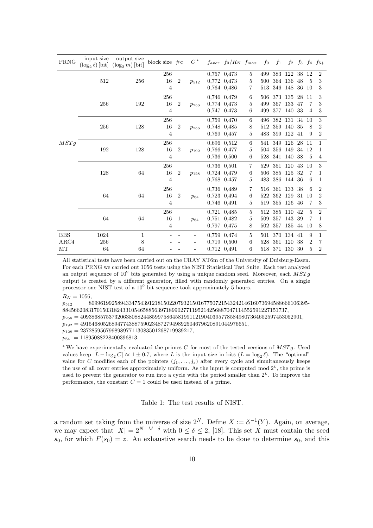| PRNG       | input size<br>$(\log_2 \ell)$ [bit] | output size<br>$(\log_2 m)$ [bit] | block size $\#c$     |                | $C^*$     | $f_{aver}$ $f_0/R_N$ $f_{max}$ |                | $f_0$ | $f_1$             |               |       |                | $f_2$ $f_3$ $f_4$ $f_{5+}$ |
|------------|-------------------------------------|-----------------------------------|----------------------|----------------|-----------|--------------------------------|----------------|-------|-------------------|---------------|-------|----------------|----------------------------|
|            | 512                                 | 256                               | 256                  | $\overline{2}$ | $p_{512}$ | 0.757 0.473                    | 5              | 499   | 383 122           |               | 38 12 |                | 2                          |
|            |                                     |                                   | 16<br>$\overline{4}$ |                |           | 0.772 0.473                    | 5              | 500   | 364 136           |               | 48    | 5              | 3                          |
|            |                                     |                                   |                      |                |           | 0.764 0.486                    | 7              | 513   | 346 148           |               | 36 10 |                | 3                          |
|            | 256                                 | 192                               | 256                  |                |           | 0,746 0,479                    | 6              | 506   |                   | 373 135 28 11 |       |                | 3                          |
|            |                                     |                                   | 16                   | $\overline{2}$ | $p_{256}$ | 0,774 0,473                    | 5              | 499   | 367 133           |               | 47    | 7              | 3                          |
|            |                                     |                                   | $\overline{4}$       |                |           | 0,747 0,473                    | 6              | 499   | 377               | 140           | 33    | $\overline{4}$ | 3                          |
|            | 256                                 | 128                               | 256                  |                |           | 0.759 0.470                    | 6              | 496   |                   | 382 131       | 34    | 10             | 3                          |
|            |                                     |                                   | 16                   | $\overline{2}$ | $p_{256}$ | 0.748 0.485                    | 8              | 512   | 359 140           |               | 35    | 8              | 2                          |
|            |                                     |                                   | $\overline{4}$       |                |           | 0,769 0,457                    | 5              | 483   | 399 122           |               | -41   | 9              | 2                          |
| MSTg       | 192                                 | 128                               | 256                  | $\overline{2}$ | $p_{192}$ | 0.696 0.512                    | 6              |       | 541 349 126 28 11 |               |       |                | 1                          |
|            |                                     |                                   | 16                   |                |           | 0.766 0.477                    | 5              | 504   | 356 149           |               | 34 12 |                | 1                          |
|            |                                     |                                   | $\overline{4}$       |                |           | 0.736 0.500                    | 6              | 528   | 341 140           |               | 38    | 5              | 4                          |
|            | 128                                 | 64                                | 256                  |                | $p_{128}$ | 0,736 0,501                    | $\overline{7}$ | 529   | 351 120           |               | 43    | 10             | 3                          |
|            |                                     |                                   | 16                   | $\overline{2}$ |           | 0,724 0,479                    | 6              | 506   | 385 125           |               | 32    | 7              | 1                          |
|            |                                     |                                   | $\overline{4}$       |                |           | 0,768 0,457                    | 5              | 483   |                   | 386 144 36    |       | 6              | 1                          |
|            | 64                                  | 64                                | 256                  | $\overline{2}$ | $p_{64}$  | 0.736 0.489                    | 7              |       | 516 361 133 38    |               |       | 6              | $\overline{2}$             |
|            |                                     |                                   | 16<br>4              |                |           | 0.723 0.494                    | 6              | 522   | 362 129           |               | 31    | 10             | 2                          |
|            |                                     |                                   |                      |                |           | 0,746 0,491                    | 5              | 519   |                   | 355 126 46    |       | 7              | 3                          |
|            | 64                                  | 64                                | 256                  |                | $p_{64}$  | 0.721 0.485                    | 5              |       | 512 385 110       |               | 42    | $\overline{5}$ | $\overline{2}$             |
|            |                                     |                                   | 16                   | -1             |           | 0,751 0,482                    | 5              | 509   |                   | 357 143 39    |       | 7              | 1                          |
|            |                                     |                                   | $\overline{4}$       |                |           | 0,797 0,475                    | 8              | 502   |                   | 357 135 44 10 |       |                | 8                          |
| <b>BBS</b> | 1024                                | 1                                 |                      |                |           | 0.759 0.474                    | 5              | 501   | 370 134 41        |               |       | 9              | 1                          |
| ARC4       | 256                                 | 8                                 |                      |                |           | 0.719 0.500                    | 6              | 528   | 361               | 120           | 38    | $\overline{2}$ | 7                          |
| MT         | 64                                  | 64                                |                      |                |           | 0.712 0.491                    | 6              |       | 518 371 130       |               | 30    | 5              | $\overline{2}$             |

All statistical tests have been carried out on the CRAY XT6m of the University of Duisburg-Essen. For each PRNG we carried out 1056 tests using the NIST Statistical Test Suite. Each test analyzed an output sequence of  $10^9$  bits generated by using a unique random seed. Moreover, each  $MSTg$ output is created by a different generator, filled with randomly generated entries. On a single processor one NIST test of a  $10^9$  bit sequence took approximately 5 hours.

 $R_N = 1056,$ 

 $p_{512}$  = 8099619925894334754391218150220793215016775072154324214616073694588666106395-884566208317015031824331054658856397189902771195214256887047114552591227151737,  $p_{256} = 40938685753732063808824485997586458199112190403957785849807364652597453052901,$ 

 $p_{192} = 4915468052689477438875902348727949892504679620891044976651,$ 

 $p_{128} = 237285956799898977113083501268719939217,$ 

 $p_{64}$  = 11895088228400396813.

<sup>∗</sup> We have experimentally evaluated the primes C for most of the tested versions of MSTg. Used values keep  $|L - \log_2 C| \approx 1 \pm 0.7$ , where L is the input size in bits  $(L = \log_2 \ell)$ . The "optimal" value for C modifies each of the pointers  $(j_1, \ldots, j_s)$  after every cycle and simultaneously keeps the use of all cover entries approximately uniform. As the input is computed mod  $2^L$ , the prime is used to prevent the generator to run into a cycle with the period smaller than  $2<sup>L</sup>$ . To improve the performance, the constant  $C = 1$  could be used instead of a prime.

Table 1: The test results of NIST.

a random set taking from the universe of size  $2^N$ . Define  $X := \check{\alpha}^{-1}(Y)$ . Again, on average, we may expect that  $|X| = 2^{N-M-\delta}$  with  $0 \le \delta \le 2$ , [18]. This set X must contain the seed  $s_0$ , for which  $F(s_0) = z$ . An exhaustive search needs to be done to determine  $s_0$ , and this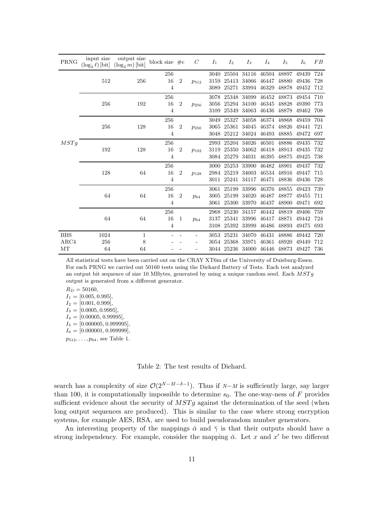| PRNG       | input size<br>$(\log_2 \ell)$ [bit] | output size<br>$(\log_2 m)$ [bit] | block size $\#c$ |                | C         | $I_1$ | I <sub>2</sub> | $I_3$                              | $I_4$                   | $I_5$       | $I_6$ | FB  |
|------------|-------------------------------------|-----------------------------------|------------------|----------------|-----------|-------|----------------|------------------------------------|-------------------------|-------------|-------|-----|
| MSTq       | 512                                 | 256                               | 256              | 2              | $p_{512}$ | 3040  |                | 25504 34116 46504                  |                         | 48897       | 49439 | 724 |
|            |                                     |                                   | $16\,$           |                |           | 3159  |                | 25413 34066 46447                  |                         | 48880       | 49436 | 728 |
|            |                                     |                                   | 4                |                |           | 3089  | 25271          |                                    | 33994 46329             | 48878       | 49452 | 712 |
|            | 256                                 | 192                               | 256              |                |           |       |                | 3078 25348 34099 46452 48873       |                         |             | 49454 | 710 |
|            |                                     |                                   | $16\,$           | $\overline{2}$ | $p_{256}$ | 3056  |                | 25294 34100                        | 46345                   | 48828       | 49390 | 773 |
|            |                                     |                                   | $\overline{4}$   |                |           | 3109  | 25349          | 34063                              | 46436                   | 48878       | 49462 | 708 |
|            | 256                                 | 128                               | 256              |                |           | 3049  | 25327          |                                    | 34058 46374 48868 49459 |             |       | 704 |
|            |                                     |                                   | 16               | $\overline{2}$ | $p_{256}$ | 3065  | 25361          | 34045                              | 46374 48826             |             | 49441 | 721 |
|            |                                     |                                   | $\overline{4}$   |                |           | 3048  | 25212          | 34024 46493 48885                  |                         |             | 49472 | 697 |
|            | 192                                 | 128                               | 256              |                |           | 2993  |                | 25204 34026 46501                  |                         | 48886       | 49435 | 732 |
|            |                                     |                                   | 16               | $\overline{2}$ | $p_{192}$ | 3119  | 25350          |                                    | 34062 46418 48913       |             | 49435 | 732 |
|            |                                     |                                   | 4                |                |           | 3084  | 25279          | 34031                              | 46395                   | 48875       | 49425 | 738 |
|            | 128                                 | 64                                | 256              |                |           |       | 3000 25253     | 33900                              | 46482 48901             |             | 49437 | 732 |
|            |                                     |                                   | $16\,$           | $\overline{2}$ | $p_{128}$ | 2984  | 25219          | 34003                              |                         | 46534 48916 | 49447 | 715 |
|            |                                     |                                   | $\overline{4}$   |                |           | 3011  | 25241          | 34117                              |                         | 46471 48836 | 49436 | 728 |
|            | 64                                  | 64                                | 256              | $\overline{2}$ | $p_{64}$  | 3061  | 25199          | 33996                              | 46376                   | 48855       | 49423 | 739 |
|            |                                     |                                   | 16               |                |           | 3005  | 25199          | 34020                              | 46487                   | 48877       | 49455 | 711 |
|            |                                     |                                   | $\overline{4}$   |                |           | 3061  | 25300          | 33970                              | 46437                   | 48900       | 49471 | 692 |
|            | 64                                  | 64                                | 256              | 1              | $p_{64}$  | 2968  | 25230          | 34157                              | 46442 48819             |             | 49406 | 759 |
|            |                                     |                                   | 16               |                |           | 3137  | 25341          |                                    | 33996 46417 48871       |             | 49442 | 724 |
|            |                                     |                                   | $\overline{4}$   |                |           | 3108  | 25392          | 33999                              | 46486                   | 48893       | 49475 | 693 |
| <b>BBS</b> | 1024                                | $\mathbf 1$                       |                  |                |           |       | 3053 25231     |                                    | 34070 46431 48886       |             | 49442 | 720 |
| $\rm ARC4$ | 256                                 | 8                                 |                  |                |           |       | 3054 25368     | 33971                              | 46361                   | 48920       | 49449 | 712 |
| MT         | 64                                  | 64                                |                  |                |           |       |                | 3044 25236 34000 46446 48873 49427 |                         |             |       | 736 |

All statistical tests have been carried out on the CRAY XT6m of the University of Duisburg-Essen. For each PRNG we carried out 50160 tests using the Diehard Battery of Tests. Each test analyzed an output bit sequence of size 10 MBytes, generated by using a unique random seed. Each  $MSTg$ output is generated from a different generator.

 $R_D = 50160,$ 

 $I_1 = [0.005, 0.995],$  $I_2 = [0.001, 0.999],$  $I_3 = [0.0005, 0.9995],$  $I_4 = [0.00005, 0.99995],$  $I_5 = [0.000005, 0.999995]$  $I_6 = [0.000001, 0.999999]$ ,

 $p_{512}, \ldots, p_{64}$ , see Table 1.

Table 2: The test results of Diehard.

search has a complexity of size  $\mathcal{O}(2^{N-M-\delta-1})$ . Thus if  $N-M$  is sufficiently large, say larger than 100, it is computationally impossible to determine  $s_0$ . The one-way-ness of F provides sufficient evidence about the security of  $MSTg$  against the determination of the seed (when long output sequences are produced). This is similar to the case where strong encryption systems, for example AES, RSA, are used to build pseudorandom number generators.

An interesting property of the mappings  $\check{\alpha}$  and  $\check{\gamma}$  is that their outputs should have a strong independency. For example, consider the mapping  $\check{\alpha}$ . Let x and x' be two different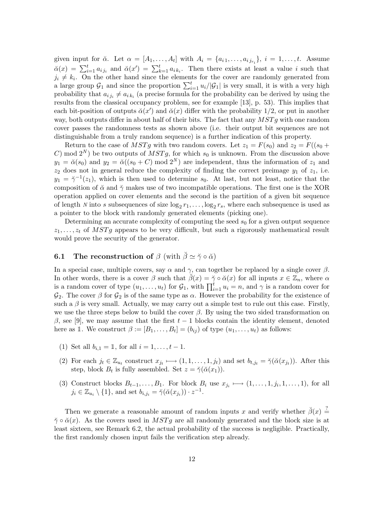given input for  $\check{\alpha}$ . Let  $\alpha = [A_1, \ldots, A_t]$  with  $A_i = \{a_{i1}, \ldots, a_{i j_{r_i}}\}, i = 1, \ldots, t$ . Assume  $\breve{\alpha}(x) = \sum_{i=1}^t a_{i j_i}$  and  $\breve{\alpha}(x') = \sum_{k=1}^t a_{i k_i}$ . Then there exists at least a value i such that  $j_i \neq k_i$ . On the other hand since the elements for the cover are randomly generated from a large group  $G_1$  and since the proportion  $\sum_{i=1}^t u_i/|G_1|$  is very small, it is with a very high probability that  $a_{ij_i} \neq a_{ik_i}$  (a precise formula for the probability can be derived by using the results from the classical occupancy problem, see for example [13], p. 53). This implies that each bit-position of outputs  $\breve{\alpha}(x')$  and  $\breve{\alpha}(x)$  differ with the probability 1/2, or put in another way, both outputs differ in about half of their bits. The fact that any  $MSTg$  with one random cover passes the randomness tests as shown above (i.e. their output bit sequences are not distinguishable from a truly random sequence) is a further indication of this property.

Return to the case of MSTg with two random covers. Let  $z_1 = F(s_0)$  and  $z_2 = F((s_0 +$ C) mod  $2^N$ ) be two outputs of  $MSTg$ , for which  $s_0$  is unknown. From the discussion above  $y_1 = \breve{\alpha}(s_0)$  and  $y_2 = \breve{\alpha}((s_0 + C) \mod 2^N)$  are independent, thus the information of  $z_1$  and  $z_2$  does not in general reduce the complexity of finding the correct preimage  $y_1$  of  $z_1$ , i.e.  $y_1 = \tilde{\gamma}^{-1}(z_1)$ , which is then used to determine  $s_0$ . At last, but not least, notice that the composition of  $\check{\alpha}$  and  $\check{\gamma}$  makes use of two incompatible operations. The first one is the XOR operation applied on cover elements and the second is the partition of a given bit sequence of length N into s subsequences of size  $\log_2 r_1, \ldots, \log_2 r_s$ , where each subsequence is used as a pointer to the block with randomly generated elements (picking one).

Determining an accurate complexity of computing the seed  $s_0$  for a given output sequence  $z_1, \ldots, z_t$  of MSTq appears to be very difficult, but such a rigorously mathematical result would prove the security of the generator.

# **6.1** The reconstruction of  $\beta$  (with  $\breve{\beta} \simeq \breve{\gamma} \circ \breve{\alpha}$ )

In a special case, multiple covers, say  $\alpha$  and  $\gamma$ , can together be replaced by a single cover  $\beta$ . In other words, there is a cover  $\beta$  such that  $\check{\beta}(x) = \check{\gamma} \circ \check{\alpha}(x)$  for all inputs  $x \in \mathbb{Z}_n$ , where  $\alpha$ is a random cover of type  $(u_1, \ldots, u_t)$  for  $\mathcal{G}_1$ , with  $\prod_{i=1}^t u_i = n$ , and  $\gamma$  is a random cover for  $\mathcal{G}_2$ . The cover  $\beta$  for  $\mathcal{G}_2$  is of the same type as  $\alpha$ . However the probability for the existence of such a  $\beta$  is very small. Actually, we may carry out a simple test to rule out this case. Firstly, we use the three steps below to build the cover  $\beta$ . By using the two sided transformation on β, see [9], we may assume that the first  $t-1$  blocks contain the identity element, denoted here as 1. We construct  $\beta := [B_1, \ldots, B_t] = (b_{ij})$  of type  $(u_1, \ldots, u_t)$  as follows:

- (1) Set all  $b_{i,1} = 1$ , for all  $i = 1, ..., t 1$ .
- (2) For each  $j_t \in \mathbb{Z}_{u_t}$  construct  $x_{j_t} \longmapsto (1, 1, \ldots, 1, j_t)$  and set  $b_{t,j_t} = \tilde{\gamma}(\tilde{\alpha}(x_{j_t}))$ . After this step, block  $B_t$  is fully assembled. Set  $z = \breve{\gamma}(\breve{\alpha}(x_1)).$
- (3) Construct blocks  $B_{t-1}, \ldots, B_1$ . For block  $B_i$  use  $x_{j_i} \longmapsto (1, \ldots, 1, j_i, 1, \ldots, 1)$ , for all  $j_i \in \mathbb{Z}_{u_i} \setminus \{1\}$ , and set  $b_{i,j_i} = \breve{\gamma}(\breve{\alpha}(x_{j_i})) \cdot z^{-1}$ .

Then we generate a reasonable amount of random inputs x and verify whether  $\check{\beta}(x) \stackrel{?}{=}$  $\check{\gamma} \circ \check{\alpha}(x)$ . As the covers used in  $MSTq$  are all randomly generated and the block size is at least sixteen, see Remark 6.2, the actual probability of the success is negligible. Practically, the first randomly chosen input fails the verification step already.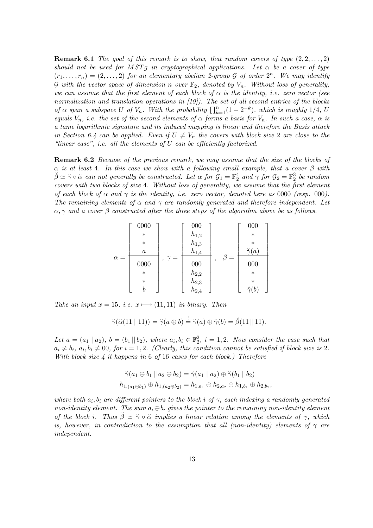**Remark 6.1** The goal of this remark is to show, that random covers of type  $(2, 2, \ldots, 2)$ should not be used for MSTq in cryptographical applications. Let  $\alpha$  be a cover of type  $(r_1, \ldots, r_n) = (2, \ldots, 2)$  for an elementary abelian 2-group G of order  $2^n$ . We may identify G with the vector space of dimension n over  $\mathbb{F}_2$ , denoted by  $V_n$ . Without loss of generality, we can assume that the first element of each block of  $\alpha$  is the identity, i.e. zero vector (see normalization and translation operations in [19]). The set of all second entries of the blocks of  $\alpha$  span a subspace U of  $V_n$ . With the probability  $\prod_{k=1}^n (1 - 2^{-k})$ , which is roughly 1/4, U equals  $V_n$ , i.e. the set of the second elements of  $\alpha$  forms a basis for  $V_n$ . In such a case,  $\alpha$  is a tame logarithmic signature and its induced mapping is linear and therefore the Basis attack in Section 6.4 can be applied. Even if  $U \neq V_n$  the covers with block size 2 are close to the "linear case", i.e. all the elements of  $U$  can be efficiently factorized.

**Remark 6.2** Because of the previous remark, we may assume that the size of the blocks of  $\alpha$  is at least 4. In this case we show with a following small example, that a cover  $\beta$  with  $\breve{\beta} \simeq \breve{\gamma} \circ \breve{\alpha}$  can not generally be constructed. Let  $\alpha$  for  $\mathcal{G}_1 = \mathbb{F}_2^4$  and  $\gamma$  for  $\mathcal{G}_2 = \mathbb{F}_2^3$  be random covers with two blocks of size 4. Without loss of generality, we assume that the first element of each block of  $\alpha$  and  $\gamma$  is the identity, i.e. zero vector, denoted here as 0000 (resp. 000). The remaining elements of  $\alpha$  and  $\gamma$  are randomly generated and therefore independent. Let  $\alpha$ ,  $\gamma$  and a cover  $\beta$  constructed after the three steps of the algorithm above be as follows.

α = 0000 ∗ ∗ a 0000 ∗ ∗ b , γ = 000 h1,<sup>2</sup> h1,<sup>3</sup> h1,<sup>4</sup> 000 h2,<sup>2</sup> h2,<sup>3</sup> h2,<sup>4</sup> , β = 000 ∗ ∗ γ˘(a) 000 ∗ ∗ γ˘(b) 

Take an input  $x = 15$ , i.e.  $x \mapsto (11, 11)$  in binary. Then

$$
\breve{\gamma}(\breve{\alpha}(11 \mid 11)) = \breve{\gamma}(a \oplus b) \stackrel{!}{=} \breve{\gamma}(a) \oplus \breve{\gamma}(b) = \breve{\beta}(11 \mid 11).
$$

Let  $a = (a_1 || a_2)$ ,  $b = (b_1 || b_2)$ , where  $a_i, b_i \in \mathbb{F}_2^2$ ,  $i = 1, 2$ . Now consider the case such that  $a_i \neq b_i$ ,  $a_i, b_i \neq 00$ , for  $i = 1, 2$ . (Clearly, this condition cannot be satisfied if block size is 2. With block size  $\lambda$  it happens in 6 of 16 cases for each block.) Therefore

$$
\breve{\gamma}(a_1 \oplus b_1 \mid a_2 \oplus b_2) = \breve{\gamma}(a_1 \mid a_2) \oplus \breve{\gamma}(b_1 \mid b_2)
$$
  

$$
h_{1,(a_1 \oplus b_1)} \oplus h_{1,(a_2 \oplus b_2)} = h_{1,a_1} \oplus h_{2,a_2} \oplus h_{1,b_1} \oplus h_{2,b_2},
$$

where both  $a_i, b_i$  are different pointers to the block i of  $\gamma$ , each indexing a randomly generated non-identity element. The sum  $a_i \oplus b_i$  gives the pointer to the remaining non-identity element of the block i. Thus  $\tilde{\beta} \simeq \tilde{\gamma} \circ \tilde{\alpha}$  implies a linear relation among the elements of  $\gamma$ , which is, however, in contradiction to the assumption that all (non-identity) elements of  $\gamma$  are independent.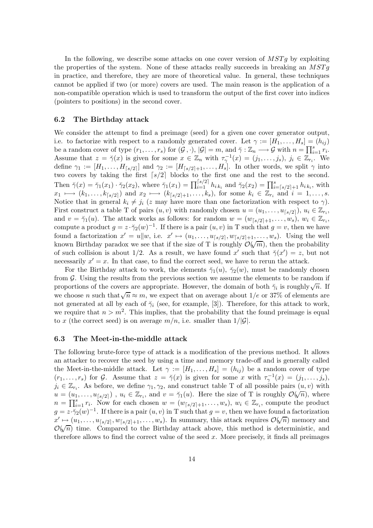In the following, we describe some attacks on one cover version of  $MSTg$  by exploiting the properties of the system. None of these attacks really succeeds in breaking an  $MSTq$ in practice, and therefore, they are more of theoretical value. In general, these techniques cannot be applied if two (or more) covers are used. The main reason is the application of a non-compatible operation which is used to transform the output of the first cover into indices (pointers to positions) in the second cover.

#### 6.2 The Birthday attack

We consider the attempt to find a preimage (seed) for a given one cover generator output, i.e. to factorize with respect to a randomly generated cover. Let  $\gamma := [H_1, \ldots, H_s] = (h_{ij})$ be a random cover of type  $(r_1, \ldots, r_s)$  for  $(\mathcal{G}, \cdot), |\mathcal{G}| = m$ , and  $\gamma : \mathbb{Z}_n \longrightarrow \mathcal{G}$  with  $n = \prod_{i=1}^s r_i$ . Assume that  $z = \tilde{\gamma}(x)$  is given for some  $x \in \mathbb{Z}_n$  with  $\tau_{\gamma}^{-1}(x) = (j_1, \ldots, j_s), j_i \in \mathbb{Z}_{r_i}$ . We define  $\gamma_1 := [H_1, \ldots, H_{\lceil s/2 \rceil}]$  and  $\gamma_2 := [H_{\lceil s/2 \rceil + 1}, \ldots, H_s]$ . In other words, we split  $\gamma$  into two covers by taking the first  $\lceil s/2 \rceil$  blocks to the first one and the rest to the second. Then  $\tilde{\gamma}(x) = \tilde{\gamma}_1(x_1) \cdot \tilde{\gamma}_2(x_2)$ , where  $\tilde{\gamma}_1(x_1) = \prod_{i=1}^{\lceil s/2 \rceil} h_{i k_i}$  and  $\tilde{\gamma}_2(x_2) = \prod_{i=\lceil s/2 \rceil+1}^s h_{i k_i}$ , with  $x_1 \longmapsto (k_1, \ldots, k_{\lceil s/2 \rceil})$  and  $x_2 \longmapsto (k_{\lceil s/2 \rceil+1}, \ldots, k_s)$ , for some  $k_i \in \mathbb{Z}_{r_i}$  and  $i = 1, \ldots, s$ . Notice that in general  $k_i \neq j_i$  (z may have more than one factorization with respect to  $\gamma$ ). First construct a table T of pairs  $(u, v)$  with randomly chosen  $u = (u_1, \ldots, u_{\lceil s/2 \rceil}), u_i \in \mathbb{Z}_{r_i}$ , and  $v = \tilde{\gamma}_1(u)$ . The attack works as follows: for random  $w = (w_{\lceil s/2 \rceil + 1}, \ldots, w_s), w_i \in \mathbb{Z}_{r_i}$ , compute a product  $g = z \cdot \check{\gamma}_2(w)^{-1}$ . If there is a pair  $(u, v)$  in T such that  $g = v$ , then we have found a factorization  $x' = u \| w$ , i.e.  $x' \mapsto (u_1, \ldots, u_{\lceil s/2 \rceil}, w_{\lceil s/2 \rceil+1}, \ldots, w_s)$ . Using the well known Birthday paradox we see that if the size of T is roughly  $\mathcal{O}(\sqrt{m})$ , then the probability of such collision is about 1/2. As a result, we have found x' such that  $\check{\gamma}(x') = z$ , but not necessarily  $x' = x$ . In that case, to find the correct seed, we have to rerun the attack.

For the Birthday attack to work, the elements  $\check{\gamma}_1(u)$ ,  $\check{\gamma}_2(w)$ , must be randomly chosen from  $G$ . Using the results from the previous section we assume the elements to be random if proportions of the covers are appropriate. However, the domain of both  $\breve{\gamma}_i$  is roughly  $\sqrt{n}$ . If we choose n such that  $\sqrt{n} \approx m$ , we expect that on average about 1/e or 37% of elements are not generated at all by each of  $\tilde{\gamma}_i$  (see, for example, [3]). Therefore, for this attack to work, we require that  $n > m^2$ . This implies, that the probability that the found preimage is equal to x (the correct seed) is on average  $m/n$ , i.e. smaller than  $1/|\mathcal{G}|$ .

#### 6.3 The Meet-in-the-middle attack

The following brute-force type of attack is a modification of the previous method. It allows an attacker to recover the seed by using a time and memory trade-off and is generally called the Meet-in-the-middle attack. Let  $\gamma := [H_1, \ldots, H_s] = (h_{ij})$  be a random cover of type  $(r_1,\ldots,r_s)$  for G. Assume that  $z = \tilde{\gamma}(x)$  is given for some x with  $\tau_{\gamma}^{-1}(x) = (j_1,\ldots,j_s)$ ,  $j_i \in \mathbb{Z}_{r_i}$ . As before, we define  $\gamma_1, \gamma_2$ , and construct table T of all possible pairs  $(u, v)$  with  $u = (u_1, \ldots, u_{\lceil s/2 \rceil})$ ,  $u_i \in \mathbb{Z}_{r_i}$ , and  $v = \check{\gamma}_1(u)$ . Here the size of T is roughly  $\mathcal{O}(\sqrt{n})$ , where  $n = \prod_{i=1}^s r_i$ . Now for each chosen  $w = (w_{\lceil s/2 \rceil+1}, \ldots, w_s), w_i \in \mathbb{Z}_{r_i}$ , compute the product  $g = z \cdot \check{\gamma}_2(w)^{-1}$ . If there is a pair  $(u, v)$  in T such that  $g = v$ , then we have found a factorization  $x' \mapsto (u_1, \ldots, u_{\lceil s/2 \rceil}, w_{\lceil s/2 \rceil+1}, \ldots, w_s)$ . In summary, this attack requires  $\mathcal{O}(\sqrt{n})$  memory and  $\mathcal{O}(\sqrt{n})$  time. Compared to the Birthday attack above, this method is deterministic, and therefore allows to find the correct value of the seed  $x$ . More precisely, it finds all preimages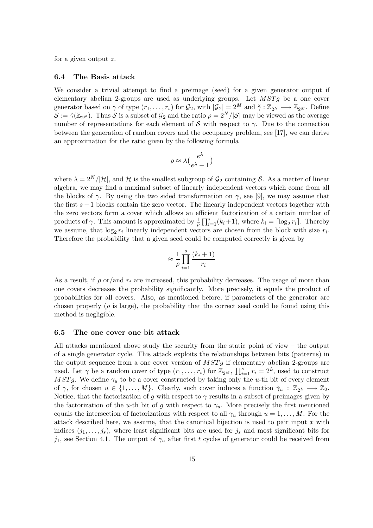for a given output z.

#### 6.4 The Basis attack

We consider a trivial attempt to find a preimage (seed) for a given generator output if elementary abelian 2-groups are used as underlying groups. Let  $MSTg$  be a one cover generator based on  $\gamma$  of type  $(r_1, \ldots, r_s)$  for  $\mathcal{G}_2$ , with  $|\mathcal{G}_2| = 2^M$  and  $\tilde{\gamma}: \mathbb{Z}_{2^N} \longrightarrow \mathbb{Z}_{2^M}$ . Define  $S := \check{\gamma}(\mathbb{Z}_{2^N})$ . Thus S is a subset of  $\mathcal{G}_2$  and the ratio  $\rho = 2^N/|\mathcal{S}|$  may be viewed as the average number of representations for each element of S with respect to  $\gamma$ . Due to the connection between the generation of random covers and the occupancy problem, see [17], we can derive an approximation for the ratio given by the following formula

$$
\rho \approx \lambda \left(\frac{e^{\lambda}}{e^{\lambda} - 1}\right)
$$

where  $\lambda = 2^N/|\mathcal{H}|$ , and H is the smallest subgroup of  $\mathcal{G}_2$  containing S. As a matter of linear algebra, we may find a maximal subset of linearly independent vectors which come from all the blocks of  $\gamma$ . By using the two sided transformation on  $\gamma$ , see [9], we may assume that the first  $s - 1$  blocks contain the zero vector. The linearly independent vectors together with the zero vectors form a cover which allows an efficient factorization of a certain number of products of  $\gamma$ . This amount is approximated by  $\frac{1}{\rho} \prod_{i=1}^{s} (k_i + 1)$ , where  $k_i = \lceil \log_2 r_i \rceil$ . Thereby we assume, that  $\log_2 r_i$  linearly independent vectors are chosen from the block with size  $r_i$ . Therefore the probability that a given seed could be computed correctly is given by

$$
\approx \frac{1}{\rho} \prod_{i=1}^{s} \frac{(k_i + 1)}{r_i}
$$

As a result, if  $\rho$  or/and  $r_i$  are increased, this probability decreases. The usage of more than one covers decreases the probability significantly. More precisely, it equals the product of probabilities for all covers. Also, as mentioned before, if parameters of the generator are chosen properly ( $\rho$  is large), the probability that the correct seed could be found using this method is negligible.

#### 6.5 The one cover one bit attack

All attacks mentioned above study the security from the static point of view – the output of a single generator cycle. This attack exploits the relationships between bits (patterns) in the output sequence from a one cover version of  $MSTg$  if elementary abelian 2-groups are used. Let  $\gamma$  be a random cover of type  $(r_1, \ldots, r_s)$  for  $\mathbb{Z}_{2^M}$ ,  $\prod_{i=1}^s r_i = 2^L$ , used to construct MSTg. We define  $\gamma_u$  to be a cover constructed by taking only the u-th bit of every element of  $\gamma$ , for chosen  $u \in \{1, ..., M\}$ . Clearly, such cover induces a function  $\breve{\gamma}_u : \mathbb{Z}_{2^L} \longrightarrow \mathbb{Z}_2$ . Notice, that the factorization of g with respect to  $\gamma$  results in a subset of preimages given by the factorization of the u-th bit of g with respect to  $\gamma_u$ . More precisely the first mentioned equals the intersection of factorizations with respect to all  $\gamma_u$  through  $u = 1, \ldots, M$ . For the attack described here, we assume, that the canonical bijection is used to pair input  $x$  with indices  $(j_1, \ldots, j_s)$ , where least significant bits are used for  $j_s$  and most significant bits for j<sub>1</sub>, see Section 4.1. The output of  $\gamma_u$  after first t cycles of generator could be received from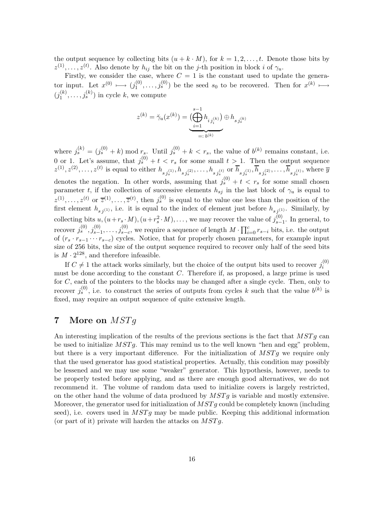the output sequence by collecting bits  $(u + k \cdot M)$ , for  $k = 1, 2, \ldots, t$ . Denote those bits by  $z^{(1)}, \ldots, z^{(t)}$ . Also denote by  $h_{ij}$  the bit on the j-th position in block i of  $\gamma_u$ .

Firstly, we consider the case, where  $C = 1$  is the constant used to update the generator input. Let  $x^{(0)} \longmapsto (j_1^{(0)})$  $j_1^{(0)}, \ldots, j_s^{(0)}$  be the seed  $s_0$  to be recovered. Then for  $x^{(k)} \mapsto$  $(j_1^{(k)}$  $j_1^{(k)}, \ldots, j_s^{(k)}$  in cycle k, we compute

$$
z^{(k)}=\check{\gamma}_u(x^{(k)})=\underbrace{\bigl(\bigoplus_{i=1}^{s-1}h_{i\,j_i^{(k)}}\bigr)}_{=:~b^{(k)}}\oplus h_{s\,j_s^{(k)}}
$$

where  $j_s^{(k)} = (j_s^{(0)} + k) \mod r_s$ . Until  $j_s^{(0)} + k < r_s$ , the value of  $b^{(k)}$  remains constant, i.e. 0 or 1. Let's assume, that  $j_s^{(0)} + t < r_s$  for some small  $t > 1$ . Then the output sequence  $z^{(1)}, z^{(2)}, \ldots, z^{(t)}$  is equal to either  $h_{s_j(s)}^{(1)}, h_{s_j(s)}^{(2)}, \ldots, h_{s_j(s)}^{(t)}$  or  $\overline{h}_{s_j(s)}^{(1)}, \overline{h}_{s_j(s)}^{(2)}, \ldots, \overline{h}_{s_j(s)}^{(t)}$ , where  $\overline{y}$ denotes the negation. In other words, assuming that  $j_s^{(0)} + t < r_s$  for some small chosen parameter t, if the collection of successive elements  $h_{sj}$  in the last block of  $\gamma_u$  is equal to  $z^{(1)},\ldots,z^{(t)}$  or  $\overline{z}^{(1)},\ldots,\overline{z}^{(t)}$ , then  $j_s^{(0)}$  is equal to the value one less than the position of the first element  $h_{s,i(1)}$ , i.e. it is equal to the index of element just before  $h_{s,i(1)}$ . Similarly, by collecting bits  $u, (u+r_s \cdot M), (u+r_s^2 \cdot M), \ldots$ , we may recover the value of  $j_{s-}^{(0)}$  $\sum_{s=1}^{(0)}$ . In general, to recover  $j_s^{(0)}, j_{s-1}^{(0)}, \ldots, j_{s-c}^{(0)}$ , we require a sequence of length  $M \cdot \prod_{i=0}^c r_{s-i}$  bits, i.e. the output of  $(r_s \cdot r_{s-1} \cdots r_{s-c})$  cycles. Notice, that for properly chosen parameters, for example input size of 256 bits, the size of the output sequence required to recover only half of the seed bits is  $M \cdot 2^{128}$ , and therefore infeasible.

If  $C \neq 1$  the attack works similarly, but the choice of the output bits used to recover  $j_i^{(0)}$ i must be done according to the constant C. Therefore if, as proposed, a large prime is used for C, each of the pointers to the blocks may be changed after a single cycle. Then, only to recover  $j_s^{(0)}$ , i.e. to construct the series of outputs from cycles k such that the value  $b^{(k)}$  is fixed, may require an output sequence of quite extensive length.

# 7 More on  $MSTq$

An interesting implication of the results of the previous sections is the fact that  $MSTg$  can be used to initialize  $MSTg$ . This may remind us to the well known "hen and egg" problem, but there is a very important difference. For the initialization of  $MSTg$  we require only that the used generator has good statistical properties. Actually, this condition may possibly be lessened and we may use some "weaker" generator. This hypothesis, however, needs to be properly tested before applying, and as there are enough good alternatives, we do not recommend it. The volume of random data used to initialize covers is largely restricted, on the other hand the volume of data produced by  $MSTq$  is variable and mostly extensive. Moreover, the generator used for initialization of  $MSTq$  could be completely known (including seed), i.e. covers used in  $MSTg$  may be made public. Keeping this additional information (or part of it) private will harden the attacks on  $MSTg$ .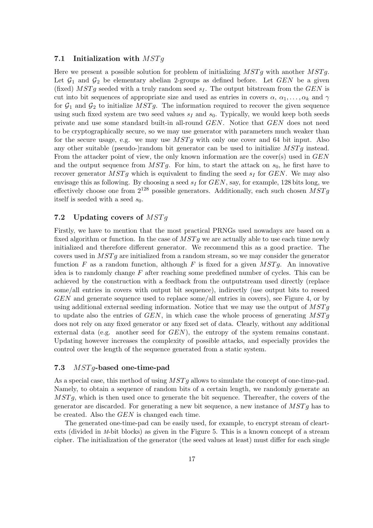#### 7.1 Initialization with  $MSTg$

Here we present a possible solution for problem of initializing  $MSTq$  with another  $MSTq$ . Let  $G_1$  and  $G_2$  be elementary abelian 2-groups as defined before. Let GEN be a given (fixed)  $MSTg$  seeded with a truly random seed  $s_I$ . The output bitstream from the GEN is cut into bit sequences of appropriate size and used as entries in covers  $\alpha, \alpha_1, \ldots, \alpha_k$  and  $\gamma$ for  $G_1$  and  $G_2$  to initialize MSTg. The information required to recover the given sequence using such fixed system are two seed values  $s_I$  and  $s_0$ . Typically, we would keep both seeds private and use some standard built-in all-round GEN. Notice that GEN does not need to be cryptographically secure, so we may use generator with parameters much weaker than for the secure usage, e.g. we may use  $MSTg$  with only one cover and 64 bit input. Also any other suitable (pseudo-)random bit generator can be used to initialize  $MSTg$  instead. From the attacker point of view, the only known information are the cover(s) used in  $GEN$ and the output sequence from  $MSTg$ . For him, to start the attack on  $s_0$ , he first have to recover generator  $MSTg$  which is equivalent to finding the seed  $s_I$  for  $GEN$ . We may also envisage this as following. By choosing a seed  $s_I$  for  $GEN$ , say, for example, 128 bits long, we effectively choose one from  $2^{128}$  possible generators. Additionally, each such chosen  $MSTq$ itself is seeded with a seed  $s_0$ .

### 7.2 Updating covers of  $MSTq$

Firstly, we have to mention that the most practical PRNGs used nowadays are based on a fixed algorithm or function. In the case of  $MSTg$  we are actually able to use each time newly initialized and therefore different generator. We recommend this as a good practice. The covers used in  $MSTg$  are initialized from a random stream, so we may consider the generator function F as a random function, although F is fixed for a given  $MSTg$ . An innovative idea is to randomly change  $F$  after reaching some predefined number of cycles. This can be achieved by the construction with a feedback from the outputstream used directly (replace some/all entries in covers with output bit sequence), indirectly (use output bits to reseed GEN and generate sequence used to replace some/all entries in covers), see Figure 4, or by using additional external seeding information. Notice that we may use the output of  $MSTg$ to update also the entries of  $GEN$ , in which case the whole process of generating  $MSTg$ does not rely on any fixed generator or any fixed set of data. Clearly, without any additional external data (e.g. another seed for  $GEN$ ), the entropy of the system remains constant. Updating however increases the complexity of possible attacks, and especially provides the control over the length of the sequence generated from a static system.

#### 7.3 MST g-based one-time-pad

As a special case, this method of using  $MSTq$  allows to simulate the concept of one-time-pad. Namely, to obtain a sequence of random bits of a certain length, we randomly generate an  $MSTq$ , which is then used once to generate the bit sequence. Thereafter, the covers of the generator are discarded. For generating a new bit sequence, a new instance of  $MSTg$  has to be created. Also the GEN is changed each time.

The generated one-time-pad can be easily used, for example, to encrypt stream of cleartexts (divided in M-bit blocks) as given in the Figure 5. This is a known concept of a stream cipher. The initialization of the generator (the seed values at least) must differ for each single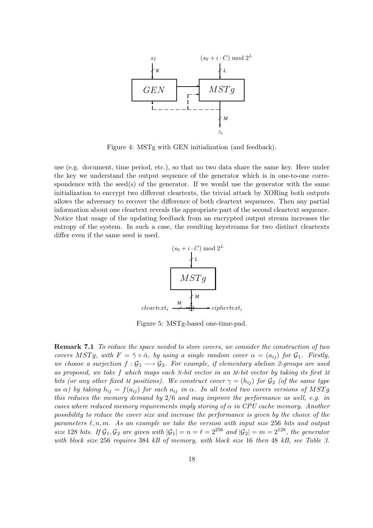

Figure 4: MSTg with GEN initialization (and feedback).

use (e.g. document, time period, etc.), so that no two data share the same key. Here under the key we understand the output sequence of the generator which is in one-to-one correspondence with the seed(s) of the generator. If we would use the generator with the same initialization to encrypt two different cleartexts, the trivial attack by XORing both outputs allows the adversary to recover the difference of both cleartext sequences. Then any partial information about one cleartext reveals the appropriate part of the second cleartext sequence. Notice that usage of the updating feedback from an encrypted output stream increases the entropy of the system. In such a case, the resulting keystreams for two distinct cleartexts differ even if the same seed is used.



Figure 5: MSTg-based one-time-pad.

Remark 7.1 To reduce the space needed to store covers, we consider the construction of two covers MSTg, with  $F = \check{\gamma} \circ \check{\alpha}$ , by using a single random cover  $\alpha = (a_{ij})$  for  $\mathcal{G}_1$ . Firstly, we choose a surjection  $f: \mathcal{G}_1 \longrightarrow \mathcal{G}_2$ . For example, if elementary abelian 2-groups are used as proposed, we take f which maps each N-bit vector in an M-bit vector by taking its first M bits (or any other fixed M positions). We construct cover  $\gamma = (h_{ij})$  for  $\mathcal{G}_2$  (of the same type as  $\alpha$ ) by taking  $h_{ij} = f(a_{ij})$  for each  $a_{ij}$  in  $\alpha$ . In all tested two covers versions of MSTg this reduces the memory demand by 2/6 and may improve the performance as well, e.g. in cases where reduced memory requirements imply storing of  $\alpha$  in CPU cache memory. Another possibility to reduce the cover size and increase the performance is given by the choice of the parameters  $\ell, n, m$ . As an example we take the version with input size 256 bits and output size 128 bits. If  $\mathcal{G}_1, \mathcal{G}_2$  are given with  $|\mathcal{G}_1| = n = \ell = 2^{256}$  and  $|\mathcal{G}_2| = m = 2^{128}$ , the generator with block size 256 requires 384 kB of memory, with block size 16 then 48 kB, see Table 3.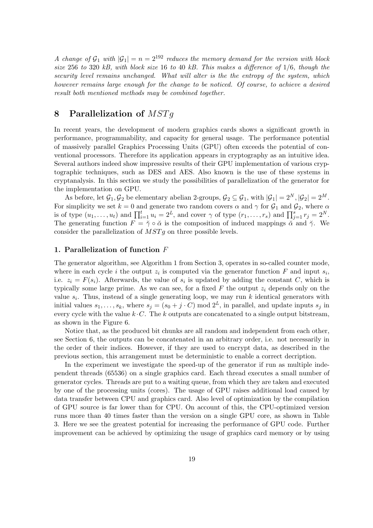A change of  $G_1$  with  $|G_1| = n = 2^{192}$  reduces the memory demand for the version with block size 256 to 320 kB, with block size 16 to 40 kB. This makes a difference of 1/6, though the security level remains unchanged. What will alter is the the entropy of the system, which however remains large enough for the change to be noticed. Of course, to achieve a desired result both mentioned methods may be combined together.

# 8 Parallelization of  $MSTq$

In recent years, the development of modern graphics cards shows a significant growth in performance, programmability, and capacity for general usage. The performance potential of massively parallel Graphics Processing Units (GPU) often exceeds the potential of conventional processors. Therefore its application appears in cryptography as an intuitive idea. Several authors indeed show impressive results of their GPU implementation of various cryptographic techniques, such as DES and AES. Also known is the use of these systems in cryptanalysis. In this section we study the possibilities of parallelization of the generator for the implementation on GPU.

As before, let  $\mathcal{G}_1, \mathcal{G}_2$  be elementary abelian 2-groups,  $\mathcal{G}_2 \subseteq \mathcal{G}_1$ , with  $|\mathcal{G}_1| = 2^N, |\mathcal{G}_2| = 2^M$ . For simplicity we set  $k = 0$  and generate two random covers  $\alpha$  and  $\gamma$  for  $\mathcal{G}_1$  and  $\mathcal{G}_2$ , where  $\alpha$ is of type  $(u_1, \ldots, u_t)$  and  $\prod_{i=1}^t u_i = 2^L$ , and cover  $\gamma$  of type  $(r_1, \ldots, r_s)$  and  $\prod_{j=1}^s r_j = 2^N$ . The generating function  $F = \check{\gamma} \circ \check{\alpha}$  is the composition of induced mappings  $\check{\alpha}$  and  $\check{\gamma}$ . We consider the parallelization of  $MSTq$  on three possible levels.

#### 1. Parallelization of function F

The generator algorithm, see Algorithm 1 from Section 3, operates in so-called counter mode, where in each cycle i the output  $z_i$  is computed via the generator function F and input  $s_i$ , i.e.  $z_i = F(s_i)$ . Afterwards, the value of  $s_i$  is updated by adding the constant C, which is typically some large prime. As we can see, for a fixed F the output  $z_i$  depends only on the value  $s_i$ . Thus, instead of a single generating loop, we may run k identical generators with initial values  $s_1, \ldots, s_k$ , where  $s_j = (s_0 + j \cdot C) \mod 2^L$ , in parallel, and update inputs  $s_j$  in every cycle with the value  $k \cdot C$ . The k outputs are concatenated to a single output bitstream, as shown in the Figure 6.

Notice that, as the produced bit chunks are all random and independent from each other, see Section 6, the outputs can be concatenated in an arbitrary order, i.e. not necessarily in the order of their indices. However, if they are used to encrypt data, as described in the previous section, this arrangement must be deterministic to enable a correct decription.

In the experiment we investigate the speed-up of the generator if run as multiple independent threads (65536) on a single graphics card. Each thread executes a small number of generator cycles. Threads are put to a waiting queue, from which they are taken and executed by one of the processing units (cores). The usage of GPU raises additional load caused by data transfer between CPU and graphics card. Also level of optimization by the compilation of GPU source is far lower than for CPU. On account of this, the CPU-optimized version runs more than 40 times faster than the version on a single GPU core, as shown in Table 3. Here we see the greatest potential for increasing the performance of GPU code. Further improvement can be achieved by optimizing the usage of graphics card memory or by using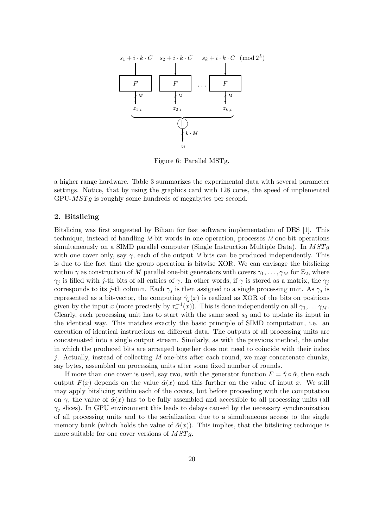

Figure 6: Parallel MSTg.

a higher range hardware. Table 3 summarizes the experimental data with several parameter settings. Notice, that by using the graphics card with 128 cores, the speed of implemented  $GPU-MSTg$  is roughly some hundreds of megabytes per second.

### 2. Bitslicing

Bitslicing was first suggested by Biham for fast software implementation of DES [1]. This technique, instead of handling M-bit words in one operation, processes M one-bit operations simultaneously on a SIMD parallel computer (Single Instruction Multiple Data). In  $MSTg$ with one cover only, say  $\gamma$ , each of the output M bits can be produced independently. This is due to the fact that the group operation is bitwise XOR. We can envisage the bitslicing within  $\gamma$  as construction of M parallel one-bit generators with covers  $\gamma_1, \ldots, \gamma_M$  for  $\mathbb{Z}_2$ , where  $\gamma_j$  is filled with j-th bits of all entries of  $\gamma$ . In other words, if  $\gamma$  is stored as a matrix, the  $\gamma_i$ corresponds to its j-th column. Each  $\gamma_i$  is then assigned to a single processing unit. As  $\gamma_i$  is represented as a bit-vector, the computing  $\check{\gamma}_i(x)$  is realized as XOR of the bits on positions given by the input x (more precisely by  $\tau_{\gamma}^{-1}(x)$ ). This is done independently on all  $\gamma_1, \ldots, \gamma_M$ . Clearly, each processing unit has to start with the same seed  $s_0$  and to update its input in the identical way. This matches exactly the basic principle of SIMD computation, i.e. an execution of identical instructions on different data. The outputs of all processing units are concatenated into a single output stream. Similarly, as with the previous method, the order in which the produced bits are arranged together does not need to coincide with their index  $j.$  Actually, instead of collecting  $M$  one-bits after each round, we may concatenate chunks, say bytes, assembled on processing units after some fixed number of rounds.

If more than one cover is used, say two, with the generator function  $F = \gamma \circ \alpha$ , then each output  $F(x)$  depends on the value  $\breve{\alpha}(x)$  and this further on the value of input x. We still may apply bitslicing within each of the covers, but before proceeding with the computation on  $\gamma$ , the value of  $\check{\alpha}(x)$  has to be fully assembled and accessible to all processing units (all  $\gamma_i$  slices). In GPU environment this leads to delays caused by the necessary synchronization of all processing units and to the serialization due to a simultaneous access to the single memory bank (which holds the value of  $\breve{\alpha}(x)$ ). This implies, that the bitslicing technique is more suitable for one cover versions of  $MSTg$ .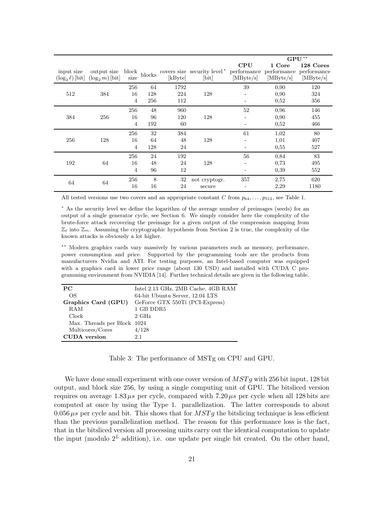|                                     |                                   |                             |                  |                    |                                                              |                  |                                    | $\mathbf{GPU}^{\ast\ast}$             |
|-------------------------------------|-----------------------------------|-----------------------------|------------------|--------------------|--------------------------------------------------------------|------------------|------------------------------------|---------------------------------------|
| input size<br>$(\log_2 \ell)$ [bit] | output size<br>$(\log_2 m)$ [bit] | block<br>size               | blocks           | [kByte]            | covers size security level <sup>*</sup> performance<br>[bit] | CPU<br>[MByte/s] | 1 Core<br>performance<br>[MByte/s] | 128 Cores<br>performance<br>[MByte/s] |
| 512                                 | 384                               | 256<br>16<br>$\overline{4}$ | 64<br>128<br>256 | 1792<br>224<br>112 | 128                                                          | 39               | 0,90<br>0,90<br>0,52               | 120<br>324<br>356                     |
| 384                                 | 256                               | 256<br>16<br>$\overline{4}$ | 48<br>96<br>192  | 960<br>120<br>60   | 128                                                          | 52               | 0,96<br>0,90<br>0,52               | 146<br>455<br>466                     |
| 256                                 | 128                               | 256<br>16<br>$\overline{4}$ | 32<br>64<br>128  | 384<br>48<br>24    | 128                                                          | 61               | 1,02<br>1,01<br>0,55               | 80<br>407<br>527                      |
| 192                                 | 64                                | 256<br>16<br>$\overline{4}$ | 24<br>48<br>96   | 192<br>24<br>12    | 128                                                          | 56<br>-          | 0,84<br>0,73<br>0,39               | 83<br>495<br>552                      |
| 64                                  | 64                                | 256<br>16                   | 8<br>16          | 32<br>24           | not cryptogr.<br>secure                                      | 357              | 2,75<br>2,29                       | 620<br>1180                           |

All tested versions use two covers and an appropriate constant C from  $p_{64}, \ldots, p_{512}$ , see Table 1.

<sup>∗</sup> As the security level we define the logarithm of the average number of preimages (seeds) for an output of a single generator cycle, see Section 6. We simply consider here the complexity of the brute-force attack recovering the preimage for a given output of the compression mapping from  $\mathbb{Z}_{\ell}$  into  $\mathbb{Z}_m$ . Assuming the cryptographic hypothesis from Section 2 is true, the complexity of the known attacks is obviously a lot higher.

∗∗ Modern graphics cards vary massively by various parameters such as memory, performance, power consumption and price. Supported by the programming tools are the products from manufacturers Nvidia and ATI. For testing purposes, an Intel-based computer was equipped with a graphics card in lower price range (about 130 USD) and installed with CUDA C programming environment from NVIDIA [14]. Further technical details are given in the following table.

| <b>PC</b>                   | Intel 2.13 GHz, 2MB Cache, 4GB RAM |  |  |  |  |  |
|-----------------------------|------------------------------------|--|--|--|--|--|
| OS                          | 64-bit Ubuntu Server, 12.04 LTS    |  |  |  |  |  |
| Graphics Card (GPU)         | GeForce GTX 550Ti (PCI-Express)    |  |  |  |  |  |
| RAM                         | 1 GB DDR5                          |  |  |  |  |  |
| Clock                       | $2 \text{ GHz}$                    |  |  |  |  |  |
| Max. Threads per Block 1024 |                                    |  |  |  |  |  |
| Multicores/Cores            | 4/128                              |  |  |  |  |  |
| <b>CUDA</b> version         | 2.1                                |  |  |  |  |  |

Table 3: The performance of MSTg on CPU and GPU.

We have done small experiment with one cover version of  $MSTg$  with 256 bit input, 128 bit output, and block size 256, by using a single computing unit of GPU. The bitsliced version requires on average 1.83  $\mu$ s per cycle, compared with 7.20  $\mu$ s per cycle when all 128 bits are computed at once by using the Type 1. parallelization. The latter corresponds to about 0.056  $\mu$ s per cycle and bit. This shows that for  $MSTg$  the bitslicing technique is less efficient than the previous parallelization method. The reason for this performance loss is the fact, that in the bitsliced version all processing units carry out the identical computation to update the input (modulo  $2^L$  addition), i.e. one update per single bit created. On the other hand,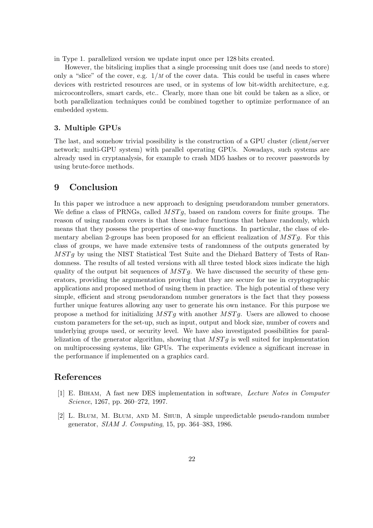in Type 1. parallelized version we update input once per 128 bits created.

However, the bitslicing implies that a single processing unit does use (and needs to store) only a "slice" of the cover, e.g.  $1/M$  of the cover data. This could be useful in cases where devices with restricted resources are used, or in systems of low bit-width architecture, e.g. microcontrollers, smart cards, etc.. Clearly, more than one bit could be taken as a slice, or both parallelization techniques could be combined together to optimize performance of an embedded system.

#### 3. Multiple GPUs

The last, and somehow trivial possibility is the construction of a GPU cluster (client/server network; multi-GPU system) with parallel operating GPUs. Nowadays, such systems are already used in cryptanalysis, for example to crash MD5 hashes or to recover passwords by using brute-force methods.

## 9 Conclusion

In this paper we introduce a new approach to designing pseudorandom number generators. We define a class of PRNGs, called  $MSTg$ , based on random covers for finite groups. The reason of using random covers is that these induce functions that behave randomly, which means that they possess the properties of one-way functions. In particular, the class of elementary abelian 2-groups has been proposed for an efficient realization of  $MSTg$ . For this class of groups, we have made extensive tests of randomness of the outputs generated by MSTg by using the NIST Statistical Test Suite and the Diehard Battery of Tests of Randomness. The results of all tested versions with all three tested block sizes indicate the high quality of the output bit sequences of  $MSTq$ . We have discussed the security of these generators, providing the argumentation proving that they are secure for use in cryptographic applications and proposed method of using them in practice. The high potential of these very simple, efficient and strong pseudorandom number generators is the fact that they possess further unique features allowing any user to generate his own instance. For this purpose we propose a method for initializing  $MSTg$  with another  $MSTg$ . Users are allowed to choose custom parameters for the set-up, such as input, output and block size, number of covers and underlying groups used, or security level. We have also investigated possibilities for parallelization of the generator algorithm, showing that  $MSTg$  is well suited for implementation on multiprocessing systems, like GPUs. The experiments evidence a significant increase in the performance if implemented on a graphics card.

## References

- [1] E. Biham, A fast new DES implementation in software, Lecture Notes in Computer Science, 1267, pp. 260–272, 1997.
- [2] L. Blum, M. Blum, and M. Shub, A simple unpredictable pseudo-random number generator, SIAM J. Computing, 15, pp. 364–383, 1986.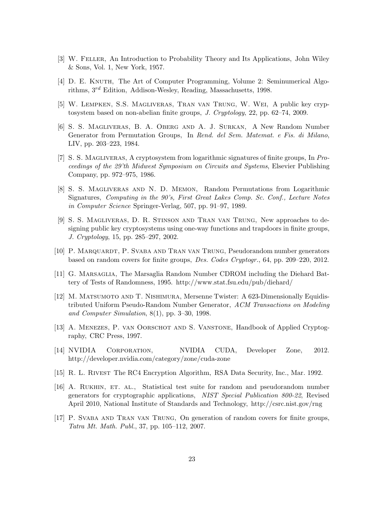- [3] W. Feller, An Introduction to Probability Theory and Its Applications, John Wiley & Sons, Vol. 1, New York, 1957.
- [4] D. E. KNUTH, The Art of Computer Programming, Volume 2: Seminumerical Algorithms, 3rd Edition, Addison-Wesley, Reading, Massachusetts, 1998.
- [5] W. Lempken, S.S. Magliveras, Tran van Trung, W. Wei, A public key cryptosystem based on non-abelian finite groups, J. Cryptology, 22, pp. 62–74, 2009.
- [6] S. S. Magliveras, B. A. Oberg and A. J. Surkan, A New Random Number Generator from Permutation Groups, In Rend. del Sem. Matemat. e Fis. di Milano, LIV, pp. 203–223, 1984.
- [7] S. S. Magliveras, A cryptosystem from logarithmic signatures of finite groups, In Proceedings of the 29'th Midwest Symposium on Circuits and Systems, Elsevier Publishing Company, pp. 972–975, 1986.
- [8] S. S. Magliveras and N. D. Memon, Random Permutations from Logarithmic Signatures, Computing in the 90's, First Great Lakes Comp. Sc. Conf., Lecture Notes in Computer Science Springer-Verlag, 507, pp. 91–97, 1989.
- [9] S. S. Magliveras, D. R. Stinson and Tran van Trung, New approaches to designing public key cryptosystems using one-way functions and trapdoors in finite groups, J. Cryptology, 15, pp. 285–297, 2002.
- [10] P. Marquardt, P. Svaba and Tran van Trung, Pseudorandom number generators based on random covers for finite groups, Des. Codes Cryptogr., 64, pp. 209–220, 2012.
- [11] G. Marsaglia, The Marsaglia Random Number CDROM including the Diehard Battery of Tests of Randomness, 1995. http://www.stat.fsu.edu/pub/diehard/
- [12] M. Matsumoto and T. Nishimura, Mersenne Twister: A 623-Dimensionally Equidistributed Uniform Pseudo-Random Number Generator, ACM Transactions on Modeling and Computer Simulation, 8(1), pp. 3–30, 1998.
- [13] A. Menezes, P. van Oorschot and S. Vanstone, Handbook of Applied Cryptography, CRC Press, 1997.
- [14] NVIDIA Corporation, NVIDIA CUDA, Developer Zone, 2012. http://developer.nvidia.com/category/zone/cuda-zone
- [15] R. L. Rivest The RC4 Encryption Algorithm, RSA Data Security, Inc., Mar. 1992.
- [16] A. RUKHIN, ET. AL., Statistical test suite for random and pseudorandom number generators for cryptographic applications, NIST Special Publication 800-22, Revised April 2010, National Institute of Standards and Technology, http://csrc.nist.gov/rng
- [17] P. Svaba and Tran van Trung, On generation of random covers for finite groups, Tatra Mt. Math. Publ., 37, pp. 105–112, 2007.